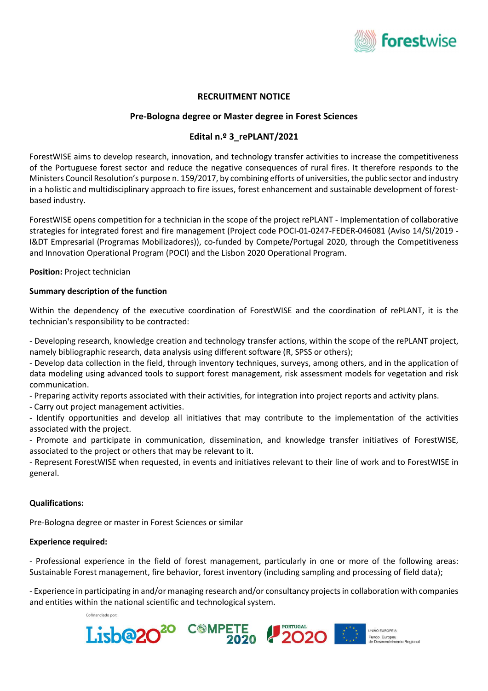

# RECRUITMENT NOTICE

## Pre-Bologna degree or Master degree in Forest Sciences

## Edital n.º 3\_rePLANT/2021

ForestWISE aims to develop research, innovation, and technology transfer activities to increase the competitiveness of the Portuguese forest sector and reduce the negative consequences of rural fires. It therefore responds to the Ministers Council Resolution's purpose n. 159/2017, by combining efforts of universities, the public sector and industry in a holistic and multidisciplinary approach to fire issues, forest enhancement and sustainable development of forestbased industry.

ForestWISE opens competition for a technician in the scope of the project rePLANT - Implementation of collaborative strategies for integrated forest and fire management (Project code POCI-01-0247-FEDER-046081 (Aviso 14/SI/2019 - I&DT Empresarial (Programas Mobilizadores)), co-funded by Compete/Portugal 2020, through the Competitiveness and Innovation Operational Program (POCI) and the Lisbon 2020 Operational Program.

Position: Project technician

#### Summary description of the function

Within the dependency of the executive coordination of ForestWISE and the coordination of rePLANT, it is the technician's responsibility to be contracted:

- Developing research, knowledge creation and technology transfer actions, within the scope of the rePLANT project, namely bibliographic research, data analysis using different software (R, SPSS or others);

- Develop data collection in the field, through inventory techniques, surveys, among others, and in the application of data modeling using advanced tools to support forest management, risk assessment models for vegetation and risk communication.

- Preparing activity reports associated with their activities, for integration into project reports and activity plans.

- Carry out project management activities.

- Identify opportunities and develop all initiatives that may contribute to the implementation of the activities associated with the project.

- Promote and participate in communication, dissemination, and knowledge transfer initiatives of ForestWISE, associated to the project or others that may be relevant to it.

- Represent ForestWISE when requested, in events and initiatives relevant to their line of work and to ForestWISE in general.

#### Qualifications:

Pre-Bologna degree or master in Forest Sciences or similar

#### Experience required:

- Professional experience in the field of forest management, particularly in one or more of the following areas: Sustainable Forest management, fire behavior, forest inventory (including sampling and processing of field data);

- Experience in participating in and/or managing research and/or consultancy projects in collaboration with companies and entities within the national scientific and technological system.

Cofinanciado por: